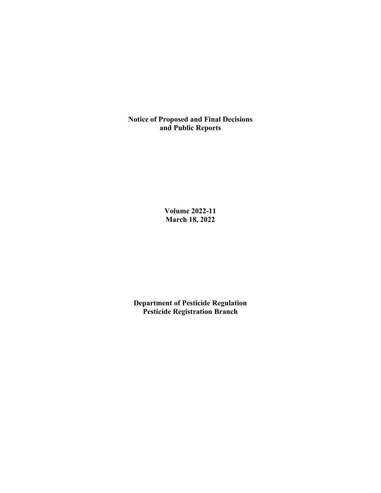**Notice of Proposed and Final Decisions and Public Reports**

> **Volume 2022-11 March 18, 2022**

**Department of Pesticide Regulation Pesticide Registration Branch**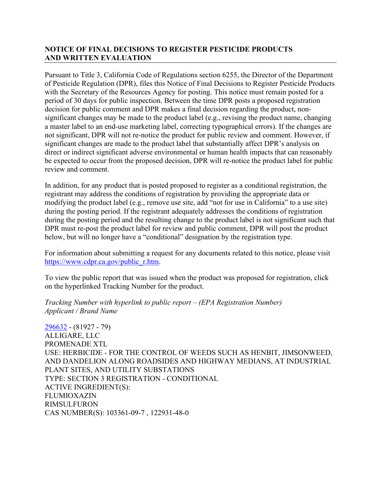# **NOTICE OF FINAL DECISIONS TO REGISTER PESTICIDE PRODUCTS AND WRITTEN EVALUATION**

Pursuant to Title 3, California Code of Regulations section 6255, the Director of the Department of Pesticide Regulation (DPR), files this Notice of Final Decisions to Register Pesticide Products with the Secretary of the Resources Agency for posting. This notice must remain posted for a period of 30 days for public inspection. Between the time DPR posts a proposed registration decision for public comment and DPR makes a final decision regarding the product, nonsignificant changes may be made to the product label (e.g., revising the product name, changing a master label to an end-use marketing label, correcting typographical errors). If the changes are not significant, DPR will not re-notice the product for public review and comment. However, if significant changes are made to the product label that substantially affect DPR's analysis on direct or indirect significant adverse environmental or human health impacts that can reasonably be expected to occur from the proposed decision, DPR will re-notice the product label for public review and comment.

In addition, for any product that is posted proposed to register as a conditional registration, the registrant may address the conditions of registration by providing the appropriate data or modifying the product label (e.g., remove use site, add "not for use in California" to a use site) during the posting period. If the registrant adequately addresses the conditions of registration during the posting period and the resulting change to the product label is not significant such that DPR must re-post the product label for review and public comment, DPR will post the product below, but will no longer have a "conditional" designation by the registration type.

For information about submitting a request for any documents related to this notice, please visit [https://www.cdpr.ca.gov/public\\_r.htm.](https://www.cdpr.ca.gov/public_r.htm)

To view the public report that was issued when the product was proposed for registration, click on the hyperlinked Tracking Number for the product.

*Tracking Number with hyperlink to public report – (EPA Registration Number) Applicant / Brand Name*

[296632](https://www.cdpr.ca.gov/docs/registration/nod/public_reports/296632.pdf) - (81927 - 79) ALLIGARE, LLC PROMENADE XTL USE: HERBICIDE - FOR THE CONTROL OF WEEDS SUCH AS HENBIT, JIMSONWEED, AND DANDELION ALONG ROADSIDES AND HIGHWAY MEDIANS, AT INDUSTRIAL PLANT SITES, AND UTILITY SUBSTATIONS TYPE: SECTION 3 REGISTRATION - CONDITIONAL ACTIVE INGREDIENT(S): FLUMIOXAZIN RIMSULFURON CAS NUMBER(S): 103361-09-7 , 122931-48-0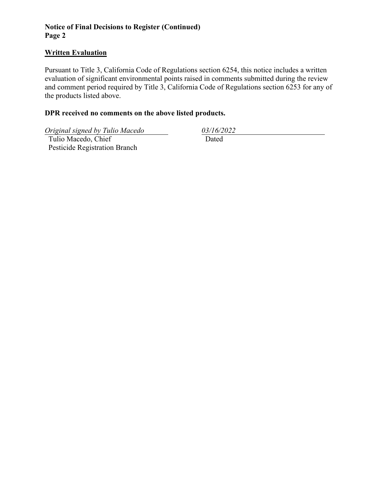# **Notice of Final Decisions to Register (Continued) Page 2**

#### **Written Evaluation**

Pursuant to Title 3, California Code of Regulations section 6254, this notice includes a written evaluation of significant environmental points raised in comments submitted during the review and comment period required by Title 3, California Code of Regulations section 6253 for any of the products listed above.

## **DPR received no comments on the above listed products.**

*Original signed by Tulio Macedo 03/16/2022*

 Tulio Macedo, Chief Pesticide Registration Branch

Dated